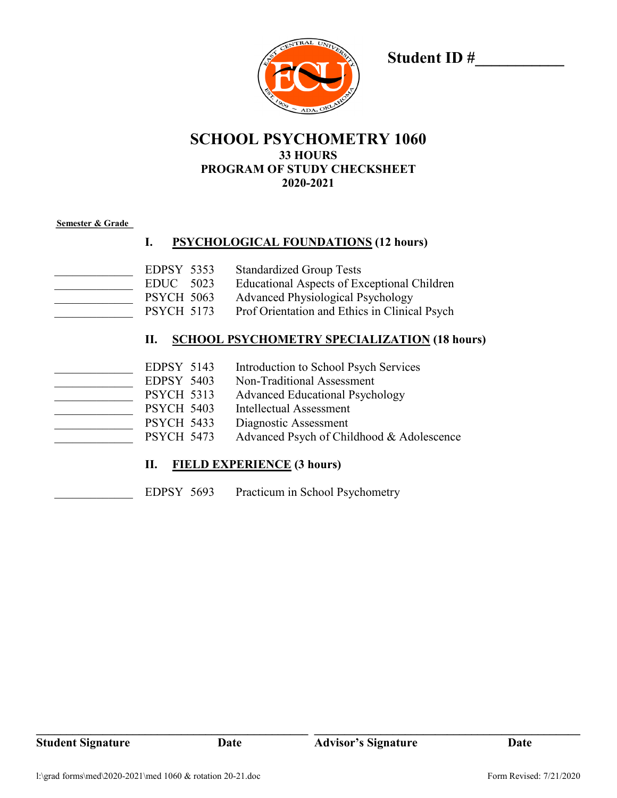

**Student ID #\_\_\_\_\_\_\_\_\_\_\_**

## **SCHOOL PSYCHOMETRY 1060 33 HOURS PROGRAM OF STUDY CHECKSHEET 2020-2021**

#### **Semester & Grade**

### **I. PSYCHOLOGICAL FOUNDATIONS (12 hours)**

EDPSY 5353 Standardized Group Tests EDUC 5023 Educational Aspects of Exceptional Children PSYCH 5063 Advanced Physiological Psychology PSYCH 5173 Prof Orientation and Ethics in Clinical Psych

#### **II. SCHOOL PSYCHOMETRY SPECIALIZATION (18 hours)**

| EDPSY 5143        | Introduction to School Psych Services     |
|-------------------|-------------------------------------------|
| EDPSY 5403        | Non-Traditional Assessment                |
| <b>PSYCH 5313</b> | <b>Advanced Educational Psychology</b>    |
| <b>PSYCH 5403</b> | Intellectual Assessment                   |
| <b>PSYCH 5433</b> | Diagnostic Assessment                     |
| <b>PSYCH 5473</b> | Advanced Psych of Childhood & Adolescence |

### **II. FIELD EXPERIENCE (3 hours)**

EDPSY 5693 Practicum in School Psychometry

**\_\_\_\_\_\_\_\_\_\_\_\_\_\_\_\_\_\_\_\_\_\_\_\_\_\_\_\_\_\_\_\_\_\_\_\_\_\_\_\_\_\_\_\_\_ \_\_\_\_\_\_\_\_\_\_\_\_\_\_\_\_\_\_\_\_\_\_\_\_\_\_\_\_\_\_\_\_\_\_\_\_\_\_\_\_\_\_\_\_**